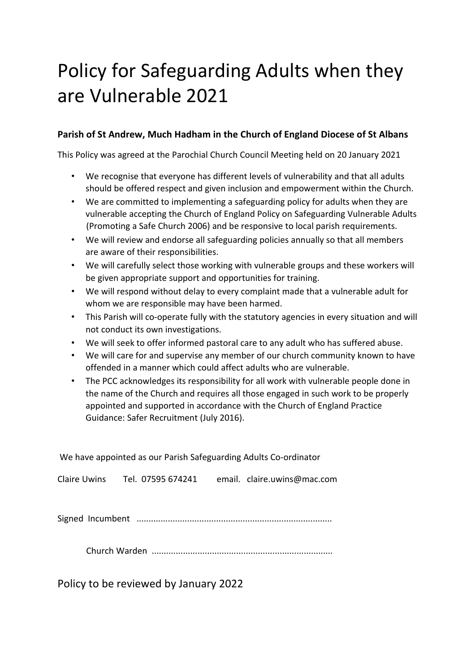# Policy for Safeguarding Adults when they are Vulnerable 2021

# **Parish of St Andrew, Much Hadham in the Church of England Diocese of St Albans**

This Policy was agreed at the Parochial Church Council Meeting held on 20 January 2021

- We recognise that everyone has different levels of vulnerability and that all adults should be offered respect and given inclusion and empowerment within the Church.
- We are committed to implementing a safeguarding policy for adults when they are vulnerable accepting the Church of England Policy on Safeguarding Vulnerable Adults (Promoting a Safe Church 2006) and be responsive to local parish requirements.
- We will review and endorse all safeguarding policies annually so that all members are aware of their responsibilities.
- We will carefully select those working with vulnerable groups and these workers will be given appropriate support and opportunities for training.
- We will respond without delay to every complaint made that a vulnerable adult for whom we are responsible may have been harmed.
- This Parish will co-operate fully with the statutory agencies in every situation and will not conduct its own investigations.
- We will seek to offer informed pastoral care to any adult who has suffered abuse.
- We will care for and supervise any member of our church community known to have offended in a manner which could affect adults who are vulnerable.
- The PCC acknowledges its responsibility for all work with vulnerable people done in the name of the Church and requires all those engaged in such work to be properly appointed and supported in accordance with the Church of England Practice Guidance: Safer Recruitment (July 2016).

We have appointed as our Parish Safeguarding Adults Co-ordinator Claire Uwins Tel. 07595 674241 email. claire.uwins@mac.com Signed Incumbent .................................................................................

Church Warden ...........................................................................

Policy to be reviewed by January 2022